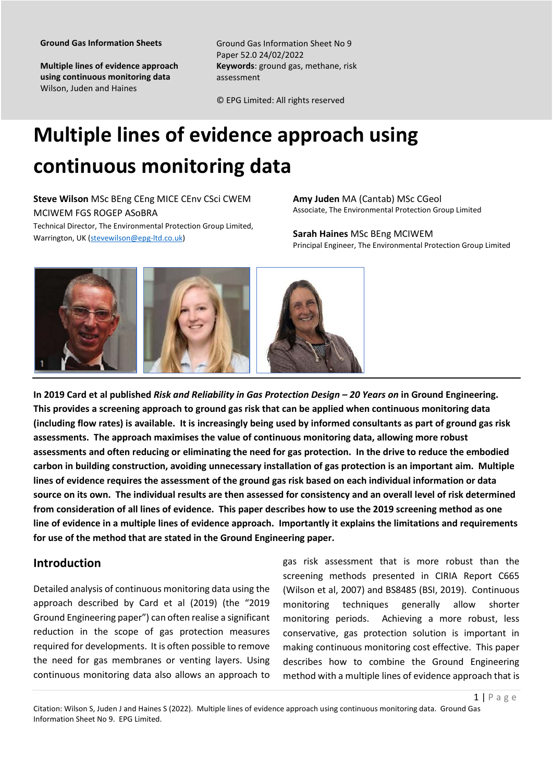**Multiple lines of evidence approach using continuous monitoring data**  Wilson, Juden and Haines

Ground Gas Information Sheet No 9 Paper 52.0 24/02/2022 **Keywords**: ground gas, methane, risk assessment

© EPG Limited: All rights reserved

# **Multiple lines of evidence approach using continuous monitoring data**

**Steve Wilson** MSc BEng CEng MICE CEnv CSci CWEM MCIWEM FGS ROGEP ASoBRA Technical Director, The Environmental Protection Group Limited,

Warrington, UK (stevewilson@epg-ltd.co.uk)

**Amy Juden** MA (Cantab) MSc CGeol Associate, The Environmental Protection Group Limited

**Sarah Haines** MSc BEng MCIWEM Principal Engineer, The Environmental Protection Group Limited



**In 2019 Card et al published** *Risk and Reliability in Gas Protection Design – 20 Years on* **in Ground Engineering. This provides a screening approach to ground gas risk that can be applied when continuous monitoring data (including flow rates) is available. It is increasingly being used by informed consultants as part of ground gas risk assessments. The approach maximises the value of continuous monitoring data, allowing more robust assessments and often reducing or eliminating the need for gas protection. In the drive to reduce the embodied carbon in building construction, avoiding unnecessary installation of gas protection is an important aim. Multiple lines of evidence requires the assessment of the ground gas risk based on each individual information or data source on its own. The individual results are then assessed for consistency and an overall level of risk determined from consideration of all lines of evidence. This paper describes how to use the 2019 screening method as one line of evidence in a multiple lines of evidence approach. Importantly it explains the limitations and requirements for use of the method that are stated in the Ground Engineering paper.**

## **Introduction**

Detailed analysis of continuous monitoring data using the approach described by Card et al (2019) (the "2019 Ground Engineering paper") can often realise a significant reduction in the scope of gas protection measures required for developments. It is often possible to remove the need for gas membranes or venting layers. Using continuous monitoring data also allows an approach to

gas risk assessment that is more robust than the screening methods presented in CIRIA Report C665 (Wilson et al, 2007) and BS8485 (BSI, 2019). Continuous monitoring techniques generally allow shorter monitoring periods. Achieving a more robust, less conservative, gas protection solution is important in making continuous monitoring cost effective. This paper describes how to combine the Ground Engineering method with a multiple lines of evidence approach that is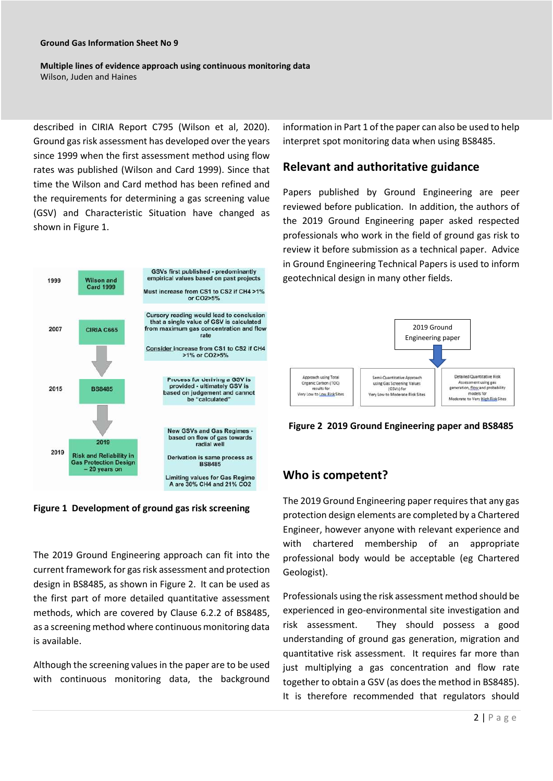**Multiple lines of evidence approach using continuous monitoring data**  Wilson, Juden and Haines

described in CIRIA Report C795 (Wilson et al, 2020). Ground gas risk assessment has developed over the years since 1999 when the first assessment method using flow rates was published (Wilson and Card 1999). Since that time the Wilson and Card method has been refined and the requirements for determining a gas screening value (GSV) and Characteristic Situation have changed as shown in Figure 1.



**Figure 1 Development of ground gas risk screening**

The 2019 Ground Engineering approach can fit into the current framework for gas risk assessment and protection design in BS8485, as shown in Figure 2. It can be used as the first part of more detailed quantitative assessment methods, which are covered by Clause 6.2.2 of BS8485, as a screening method where continuous monitoring data is available.

Although the screening values in the paper are to be used with continuous monitoring data, the background information in Part 1 of the paper can also be used to help interpret spot monitoring data when using BS8485.

#### **Relevant and authoritative guidance**

Papers published by Ground Engineering are peer reviewed before publication. In addition, the authors of the 2019 Ground Engineering paper asked respected professionals who work in the field of ground gas risk to review it before submission as a technical paper. Advice in Ground Engineering Technical Papers is used to inform geotechnical design in many other fields.



**Figure 2 2019 Ground Engineering paper and BS8485** 

## **Who is competent?**

The 2019 Ground Engineering paper requires that any gas protection design elements are completed by a Chartered Engineer, however anyone with relevant experience and with chartered membership of an appropriate professional body would be acceptable (eg Chartered Geologist).

Professionals using the risk assessment method should be experienced in geo-environmental site investigation and risk assessment. They should possess a good understanding of ground gas generation, migration and quantitative risk assessment. It requires far more than just multiplying a gas concentration and flow rate together to obtain a GSV (as does the method in BS8485). It is therefore recommended that regulators should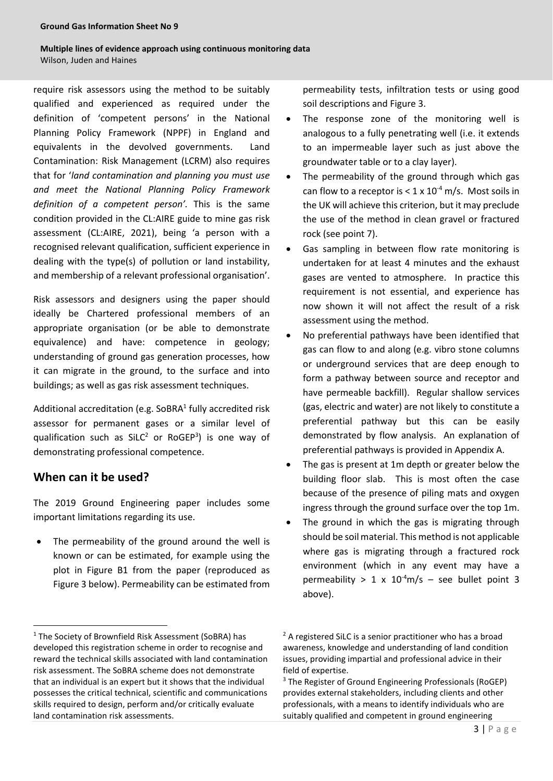#### **Multiple lines of evidence approach using continuous monitoring data**  Wilson, Juden and Haines

require risk assessors using the method to be suitably qualified and experienced as required under the definition of 'competent persons' in the National Planning Policy Framework (NPPF) in England and equivalents in the devolved governments. Land Contamination: Risk Management (LCRM) also requires that for '*land contamination and planning you must use and meet the National Planning Policy Framework definition of a competent person'.* This is the same condition provided in the CL:AIRE guide to mine gas risk assessment (CL:AIRE, 2021), being 'a person with a recognised relevant qualification, sufficient experience in dealing with the type(s) of pollution or land instability, and membership of a relevant professional organisation'.

Risk assessors and designers using the paper should ideally be Chartered professional members of an appropriate organisation (or be able to demonstrate equivalence) and have: competence in geology; understanding of ground gas generation processes, how it can migrate in the ground, to the surface and into buildings; as well as gas risk assessment techniques.

Additional accreditation (e.g. SoBRA $<sup>1</sup>$  fully accredited risk</sup> assessor for permanent gases or a similar level of qualification such as  $SiLC^2$  or RoGEP<sup>3</sup>) is one way of demonstrating professional competence.

#### **When can it be used?**

The 2019 Ground Engineering paper includes some important limitations regarding its use.

 The permeability of the ground around the well is known or can be estimated, for example using the plot in Figure B1 from the paper (reproduced as Figure 3 below). Permeability can be estimated from permeability tests, infiltration tests or using good soil descriptions and Figure 3.

- The response zone of the monitoring well is analogous to a fully penetrating well (i.e. it extends to an impermeable layer such as just above the groundwater table or to a clay layer).
- The permeability of the ground through which gas can flow to a receptor is  $< 1 \times 10^{-4}$  m/s. Most soils in the UK will achieve this criterion, but it may preclude the use of the method in clean gravel or fractured rock (see point 7).
- Gas sampling in between flow rate monitoring is undertaken for at least 4 minutes and the exhaust gases are vented to atmosphere. In practice this requirement is not essential, and experience has now shown it will not affect the result of a risk assessment using the method.
- No preferential pathways have been identified that gas can flow to and along (e.g. vibro stone columns or underground services that are deep enough to form a pathway between source and receptor and have permeable backfill). Regular shallow services (gas, electric and water) are not likely to constitute a preferential pathway but this can be easily demonstrated by flow analysis. An explanation of preferential pathways is provided in Appendix A.
- The gas is present at 1m depth or greater below the building floor slab. This is most often the case because of the presence of piling mats and oxygen ingress through the ground surface over the top 1m.
- The ground in which the gas is migrating through should be soil material. This method is not applicable where gas is migrating through a fractured rock environment (which in any event may have a permeability > 1 x  $10^{-4}$ m/s – see bullet point 3 above).

<sup>&</sup>lt;sup>1</sup> The Society of Brownfield Risk Assessment (SoBRA) has developed this registration scheme in order to recognise and reward the technical skills associated with land contamination risk assessment. The SoBRA scheme does not demonstrate that an individual is an expert but it shows that the individual possesses the critical technical, scientific and communications skills required to design, perform and/or critically evaluate land contamination risk assessments.

<sup>&</sup>lt;sup>2</sup> A registered SiLC is a senior practitioner who has a broad awareness, knowledge and understanding of land condition issues, providing impartial and professional advice in their field of expertise.

<sup>&</sup>lt;sup>3</sup> The Register of Ground Engineering Professionals (RoGEP) provides external stakeholders, including clients and other professionals, with a means to identify individuals who are suitably qualified and competent in ground engineering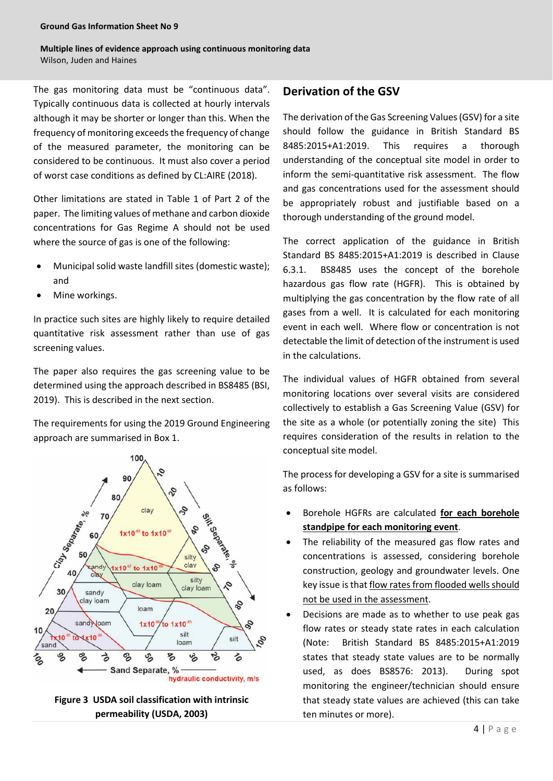The gas monitoring data must be "continuous data". Typically continuous data is collected at hourly intervals although it may be shorter or longer than this. When the frequency of monitoring exceeds the frequency of change of the measured parameter, the monitoring can be considered to be continuous. It must also cover a period of worst case conditions as defined by CL:AIRE (2018).

Other limitations are stated in Table 1 of Part 2 of the paper. The limiting values of methane and carbon dioxide concentrations for Gas Regime A should not be used where the source of gas is one of the following:

- Municipal solid waste landfill sites (domestic waste); and
- Mine workings.

In practice such sites are highly likely to require detailed quantitative risk assessment rather than use of gas screening values.

The paper also requires the gas screening value to be determined using the approach described in BS8485 (BSI, 2019). This is described in the next section.

The requirements for using the 2019 Ground Engineering approach are summarised in Box 1.





## **Derivation of the GSV**

The derivation of the Gas Screening Values (GSV) for a site should follow the guidance in British Standard BS 8485:2015+A1:2019. This requires a thorough understanding of the conceptual site model in order to inform the semi-quantitative risk assessment. The flow and gas concentrations used for the assessment should be appropriately robust and justifiable based on a thorough understanding of the ground model.

The correct application of the guidance in British Standard BS 8485:2015+A1:2019 is described in Clause 6.3.1. BS8485 uses the concept of the borehole hazardous gas flow rate (HGFR). This is obtained by multiplying the gas concentration by the flow rate of all gases from a well. It is calculated for each monitoring event in each well. Where flow or concentration is not detectable the limit of detection of the instrument is used in the calculations.

The individual values of HGFR obtained from several monitoring locations over several visits are considered collectively to establish a Gas Screening Value (GSV) for the site as a whole (or potentially zoning the site) This requires consideration of the results in relation to the conceptual site model.

The process for developing a GSV for a site is summarised as follows:

- Borehole HGFRs are calculated **for each borehole standpipe for each monitoring event**.
- The reliability of the measured gas flow rates and concentrations is assessed, considering borehole construction, geology and groundwater levels. One key issue is that flow rates from flooded wells should not be used in the assessment.
- Decisions are made as to whether to use peak gas flow rates or steady state rates in each calculation (Note: British Standard BS 8485:2015+A1:2019 states that steady state values are to be normally used, as does BS8576: 2013). During spot monitoring the engineer/technician should ensure that steady state values are achieved (this can take ten minutes or more).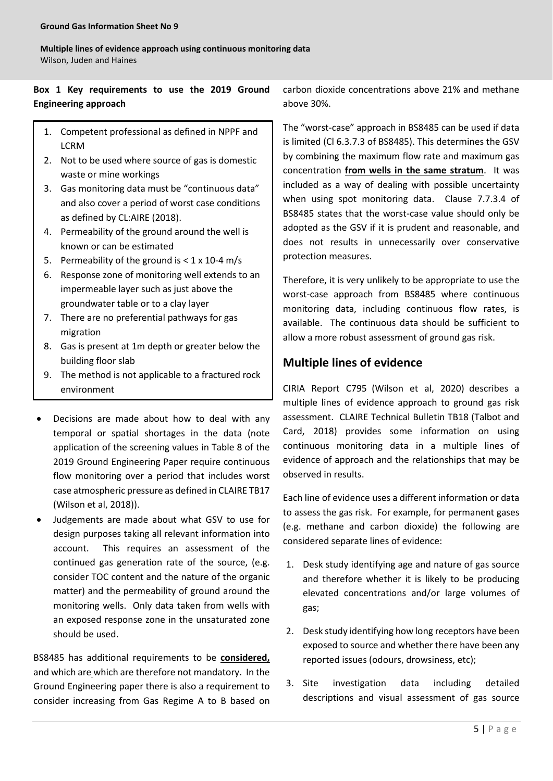**Multiple lines of evidence approach using continuous monitoring data**  Wilson, Juden and Haines

## **Box 1 Key requirements to use the 2019 Ground Engineering approach**

- 1. Competent professional as defined in NPPF and LCRM
- 2. Not to be used where source of gas is domestic waste or mine workings
- 3. Gas monitoring data must be "continuous data" and also cover a period of worst case conditions as defined by CL:AIRE (2018).
- 4. Permeability of the ground around the well is known or can be estimated
- 5. Permeability of the ground is  $< 1 \times 10^{-4}$  m/s
- 6. Response zone of monitoring well extends to an impermeable layer such as just above the groundwater table or to a clay layer
- 7. There are no preferential pathways for gas migration
- 8. Gas is present at 1m depth or greater below the building floor slab
- 9. The method is not applicable to a fractured rock environment
- Decisions are made about how to deal with any temporal or spatial shortages in the data (note application of the screening values in Table 8 of the 2019 Ground Engineering Paper require continuous flow monitoring over a period that includes worst case atmospheric pressure as defined in CLAIRE TB17 (Wilson et al, 2018)).
- Judgements are made about what GSV to use for design purposes taking all relevant information into account. This requires an assessment of the continued gas generation rate of the source, (e.g. consider TOC content and the nature of the organic matter) and the permeability of ground around the monitoring wells. Only data taken from wells with an exposed response zone in the unsaturated zone should be used.

BS8485 has additional requirements to be **considered,**  and which are which are therefore not mandatory. In the Ground Engineering paper there is also a requirement to consider increasing from Gas Regime A to B based on

carbon dioxide concentrations above 21% and methane above 30%.

The "worst-case" approach in BS8485 can be used if data is limited (Cl 6.3.7.3 of BS8485). This determines the GSV by combining the maximum flow rate and maximum gas concentration **from wells in the same stratum**. It was included as a way of dealing with possible uncertainty when using spot monitoring data. Clause 7.7.3.4 of BS8485 states that the worst-case value should only be adopted as the GSV if it is prudent and reasonable, and does not results in unnecessarily over conservative protection measures.

Therefore, it is very unlikely to be appropriate to use the worst-case approach from BS8485 where continuous monitoring data, including continuous flow rates, is available. The continuous data should be sufficient to allow a more robust assessment of ground gas risk.

#### **Multiple lines of evidence**

CIRIA Report C795 (Wilson et al, 2020) describes a multiple lines of evidence approach to ground gas risk assessment. CLAIRE Technical Bulletin TB18 (Talbot and Card, 2018) provides some information on using continuous monitoring data in a multiple lines of evidence of approach and the relationships that may be observed in results.

Each line of evidence uses a different information or data to assess the gas risk. For example, for permanent gases (e.g. methane and carbon dioxide) the following are considered separate lines of evidence:

- 1. Desk study identifying age and nature of gas source and therefore whether it is likely to be producing elevated concentrations and/or large volumes of gas;
- 2. Desk study identifying how long receptors have been exposed to source and whether there have been any reported issues (odours, drowsiness, etc);
- 3. Site investigation data including detailed descriptions and visual assessment of gas source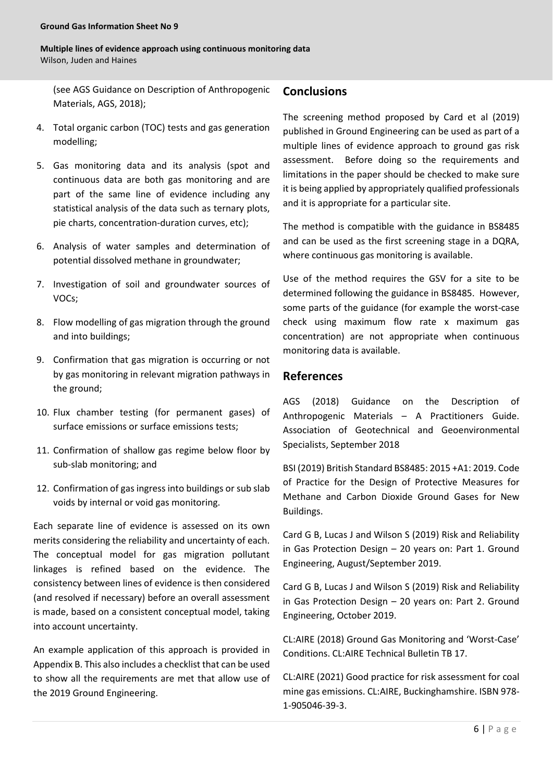**Multiple lines of evidence approach using continuous monitoring data**  Wilson, Juden and Haines

(see AGS Guidance on Description of Anthropogenic Materials, AGS, 2018);

- 4. Total organic carbon (TOC) tests and gas generation modelling;
- 5. Gas monitoring data and its analysis (spot and continuous data are both gas monitoring and are part of the same line of evidence including any statistical analysis of the data such as ternary plots, pie charts, concentration-duration curves, etc);
- 6. Analysis of water samples and determination of potential dissolved methane in groundwater;
- 7. Investigation of soil and groundwater sources of VOCs;
- 8. Flow modelling of gas migration through the ground and into buildings;
- 9. Confirmation that gas migration is occurring or not by gas monitoring in relevant migration pathways in the ground;
- 10. Flux chamber testing (for permanent gases) of surface emissions or surface emissions tests;
- 11. Confirmation of shallow gas regime below floor by sub-slab monitoring; and
- 12. Confirmation of gas ingress into buildings or sub slab voids by internal or void gas monitoring.

Each separate line of evidence is assessed on its own merits considering the reliability and uncertainty of each. The conceptual model for gas migration pollutant linkages is refined based on the evidence. The consistency between lines of evidence is then considered (and resolved if necessary) before an overall assessment is made, based on a consistent conceptual model, taking into account uncertainty.

An example application of this approach is provided in Appendix B. This also includes a checklist that can be used to show all the requirements are met that allow use of the 2019 Ground Engineering.

## **Conclusions**

The screening method proposed by Card et al (2019) published in Ground Engineering can be used as part of a multiple lines of evidence approach to ground gas risk assessment. Before doing so the requirements and limitations in the paper should be checked to make sure it is being applied by appropriately qualified professionals and it is appropriate for a particular site.

The method is compatible with the guidance in BS8485 and can be used as the first screening stage in a DQRA, where continuous gas monitoring is available.

Use of the method requires the GSV for a site to be determined following the guidance in BS8485. However, some parts of the guidance (for example the worst-case check using maximum flow rate x maximum gas concentration) are not appropriate when continuous monitoring data is available.

## **References**

AGS (2018) Guidance on the Description of Anthropogenic Materials – A Practitioners Guide. Association of Geotechnical and Geoenvironmental Specialists, September 2018

BSI (2019) British Standard BS8485: 2015 +A1: 2019. Code of Practice for the Design of Protective Measures for Methane and Carbon Dioxide Ground Gases for New Buildings.

Card G B, Lucas J and Wilson S (2019) Risk and Reliability in Gas Protection Design – 20 years on: Part 1. Ground Engineering, August/September 2019.

Card G B, Lucas J and Wilson S (2019) Risk and Reliability in Gas Protection Design – 20 years on: Part 2. Ground Engineering, October 2019.

CL:AIRE (2018) Ground Gas Monitoring and 'Worst-Case' Conditions. CL:AIRE Technical Bulletin TB 17.

CL:AIRE (2021) Good practice for risk assessment for coal mine gas emissions. CL:AIRE, Buckinghamshire. ISBN 978- 1-905046-39-3.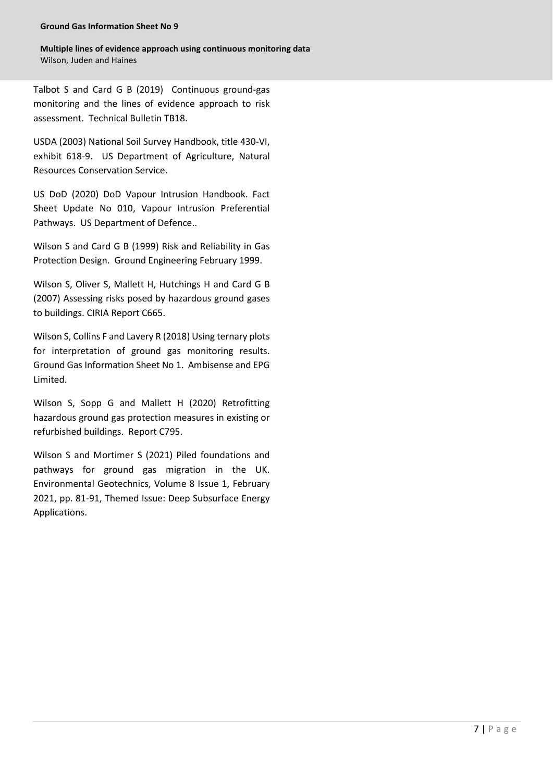**Multiple lines of evidence approach using continuous monitoring data**  Wilson, Juden and Haines

Talbot S and Card G B (2019) Continuous ground-gas monitoring and the lines of evidence approach to risk assessment. Technical Bulletin TB18.

USDA (2003) National Soil Survey Handbook, title 430-VI, exhibit 618-9. US Department of Agriculture, Natural Resources Conservation Service.

US DoD (2020) DoD Vapour Intrusion Handbook. Fact Sheet Update No 010, Vapour Intrusion Preferential Pathways. US Department of Defence..

Wilson S and Card G B (1999) Risk and Reliability in Gas Protection Design. Ground Engineering February 1999.

Wilson S, Oliver S, Mallett H, Hutchings H and Card G B (2007) Assessing risks posed by hazardous ground gases to buildings. CIRIA Report C665.

Wilson S, Collins F and Lavery R (2018) Using ternary plots for interpretation of ground gas monitoring results. Ground Gas Information Sheet No 1. Ambisense and EPG Limited.

Wilson S, Sopp G and Mallett H (2020) Retrofitting hazardous ground gas protection measures in existing or refurbished buildings. Report C795.

Wilson S and Mortimer S (2021) Piled foundations and pathways for ground gas migration in the UK. Environmental Geotechnics, Volume 8 Issue 1, February 2021, pp. 81-91, Themed Issue: Deep Subsurface Energy Applications.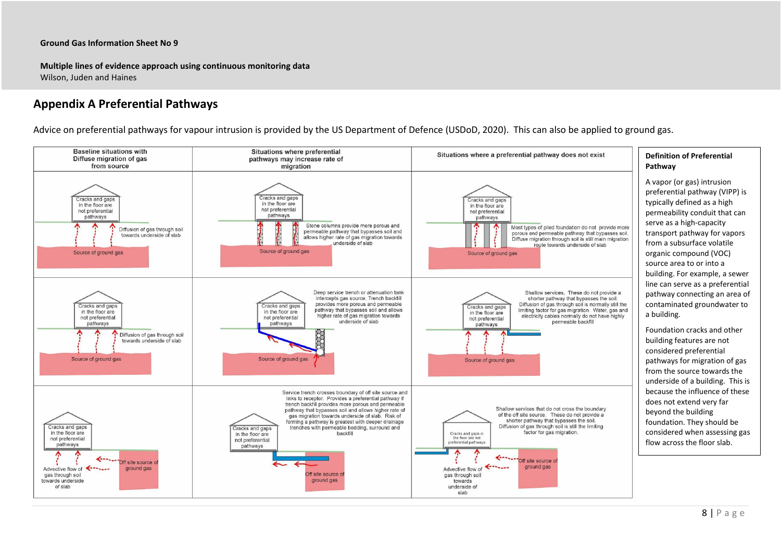**Multiple lines of evidence approach using continuous monitoring data** Wilson, Juden and Haines

## **Appendix A Preferential Pathways**

Advice on preferential pathways for vapour intrusion is provided by the US Department of Defence (USDoD, 2020). This can also be applied to ground gas.

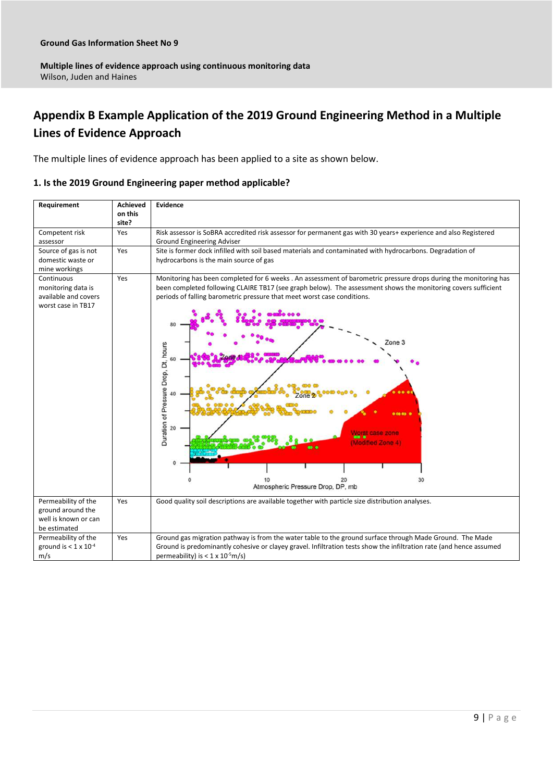## **Appendix B Example Application of the 2019 Ground Engineering Method in a Multiple Lines of Evidence Approach**

The multiple lines of evidence approach has been applied to a site as shown below.

#### **1. Is the 2019 Ground Engineering paper method applicable?**

| Requirement                                                                      | Achieved<br>on this<br>site? | <b>Evidence</b>                                                                                                                                                                                                                                                                                                                                                                                                                            |  |  |
|----------------------------------------------------------------------------------|------------------------------|--------------------------------------------------------------------------------------------------------------------------------------------------------------------------------------------------------------------------------------------------------------------------------------------------------------------------------------------------------------------------------------------------------------------------------------------|--|--|
| Competent risk<br>assessor                                                       | Yes                          | Risk assessor is SoBRA accredited risk assessor for permanent gas with 30 years+ experience and also Registered<br>Ground Engineering Adviser                                                                                                                                                                                                                                                                                              |  |  |
| Source of gas is not<br>domestic waste or<br>mine workings                       | Yes                          | Site is former dock infilled with soil based materials and contaminated with hydrocarbons. Degradation of<br>hydrocarbons is the main source of gas                                                                                                                                                                                                                                                                                        |  |  |
| Continuous<br>monitoring data is<br>available and covers<br>worst case in TB17   | Yes                          | Monitoring has been completed for 6 weeks . An assessment of barometric pressure drops during the monitoring has<br>been completed following CLAIRE TB17 (see graph below). The assessment shows the monitoring covers sufficient<br>periods of falling barometric pressure that meet worst case conditions.<br>Zone 3<br>Duration of Pressure Drop, Dt, hours<br>60<br>20<br>(Modified Zone 4)<br>30<br>Atmospheric Pressure Drop, DP, mb |  |  |
| Permeability of the<br>ground around the<br>well is known or can<br>be estimated | Yes                          | Good quality soil descriptions are available together with particle size distribution analyses.                                                                                                                                                                                                                                                                                                                                            |  |  |
| Permeability of the<br>ground is $< 1 \times 10^{-4}$<br>m/s                     | Yes                          | Ground gas migration pathway is from the water table to the ground surface through Made Ground. The Made<br>Ground is predominantly cohesive or clayey gravel. Infiltration tests show the infiltration rate (and hence assumed<br>permeability) is $< 1 \times 10^{-5}$ m/s)                                                                                                                                                              |  |  |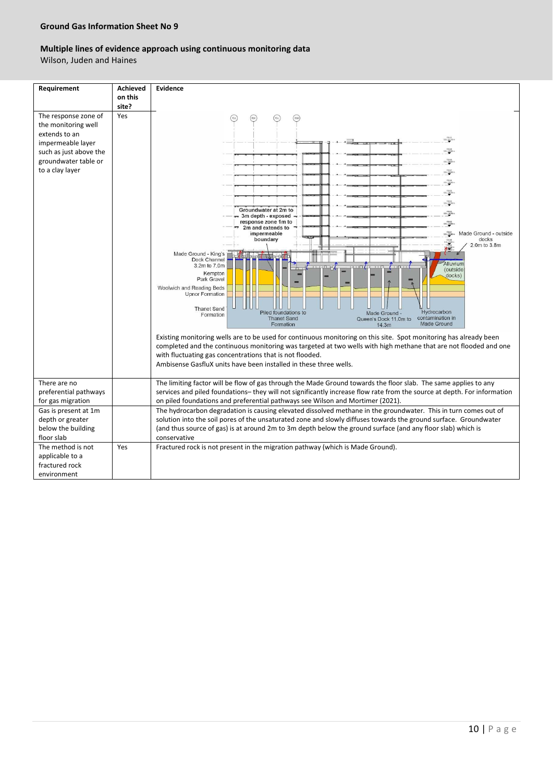## **Multiple lines of evidence approach using continuous monitoring data**

Wilson, Juden and Haines

| Requirement                                 | <b>Achieved</b> | Evidence                                                                                                                                                                                                                            |  |  |
|---------------------------------------------|-----------------|-------------------------------------------------------------------------------------------------------------------------------------------------------------------------------------------------------------------------------------|--|--|
|                                             | on this         |                                                                                                                                                                                                                                     |  |  |
|                                             | site?           |                                                                                                                                                                                                                                     |  |  |
| The response zone of<br>the monitoring well | Yes             | (24)<br>(124)<br>(52)<br>F24                                                                                                                                                                                                        |  |  |
| extends to an                               |                 |                                                                                                                                                                                                                                     |  |  |
| impermeable layer                           |                 | 33142,300                                                                                                                                                                                                                           |  |  |
| such as just above the                      |                 |                                                                                                                                                                                                                                     |  |  |
| groundwater table or                        |                 | 551-3550                                                                                                                                                                                                                            |  |  |
| to a clay layer                             |                 | 131.2841                                                                                                                                                                                                                            |  |  |
|                                             |                 | 531.200                                                                                                                                                                                                                             |  |  |
|                                             |                 | 5.54 Q6.725 in                                                                                                                                                                                                                      |  |  |
|                                             |                 | $551 - 2276n$                                                                                                                                                                                                                       |  |  |
|                                             |                 | Groundwater at 2m to<br>$551 - 2576 =$<br>3m depth - exposed                                                                                                                                                                        |  |  |
|                                             |                 | response zone 1m to<br>151.4800                                                                                                                                                                                                     |  |  |
|                                             |                 | 2m and extends to<br>ssignes Made Ground - outside<br>impermeable                                                                                                                                                                   |  |  |
|                                             |                 | boundary<br>docks<br>2.0m to 3.8m                                                                                                                                                                                                   |  |  |
|                                             |                 | k#‴<br>Made Ground - King's                                                                                                                                                                                                         |  |  |
|                                             |                 | Dock Channel<br>Alluvium<br>3.2m to 7.0m                                                                                                                                                                                            |  |  |
|                                             |                 | <i>(outside</i><br>Kempton<br>docks)                                                                                                                                                                                                |  |  |
|                                             |                 | Park Gravel<br>Woolwich and Reading Beds                                                                                                                                                                                            |  |  |
|                                             |                 | <b>Upnor Formation</b>                                                                                                                                                                                                              |  |  |
|                                             |                 | <b>Thanet Sand</b>                                                                                                                                                                                                                  |  |  |
|                                             |                 | Hydrocarbon<br>Piled foundations to<br>Made Ground -<br>Formation<br>contamination in<br><b>Thanet Sand</b><br>Queen's Dock 11.0m to                                                                                                |  |  |
|                                             |                 | Made Ground<br>Formation<br>14.3m                                                                                                                                                                                                   |  |  |
|                                             |                 | Existing monitoring wells are to be used for continuous monitoring on this site. Spot monitoring has already been                                                                                                                   |  |  |
|                                             |                 | completed and the continuous monitoring was targeted at two wells with high methane that are not flooded and one                                                                                                                    |  |  |
|                                             |                 | with fluctuating gas concentrations that is not flooded.                                                                                                                                                                            |  |  |
|                                             |                 | Ambisense GasfluX units have been installed in these three wells.                                                                                                                                                                   |  |  |
|                                             |                 |                                                                                                                                                                                                                                     |  |  |
| There are no                                |                 | The limiting factor will be flow of gas through the Made Ground towards the floor slab. The same applies to any                                                                                                                     |  |  |
| preferential pathways                       |                 | services and piled foundations-they will not significantly increase flow rate from the source at depth. For information                                                                                                             |  |  |
| for gas migration                           |                 | on piled foundations and preferential pathways see Wilson and Mortimer (2021).                                                                                                                                                      |  |  |
| Gas is present at 1m<br>depth or greater    |                 | The hydrocarbon degradation is causing elevated dissolved methane in the groundwater. This in turn comes out of<br>solution into the soil pores of the unsaturated zone and slowly diffuses towards the ground surface. Groundwater |  |  |
| below the building                          |                 | (and thus source of gas) is at around 2m to 3m depth below the ground surface (and any floor slab) which is                                                                                                                         |  |  |
| floor slab                                  |                 | conservative                                                                                                                                                                                                                        |  |  |
| The method is not                           | Yes             | Fractured rock is not present in the migration pathway (which is Made Ground).                                                                                                                                                      |  |  |
| applicable to a                             |                 |                                                                                                                                                                                                                                     |  |  |
| fractured rock                              |                 |                                                                                                                                                                                                                                     |  |  |
| environment                                 |                 |                                                                                                                                                                                                                                     |  |  |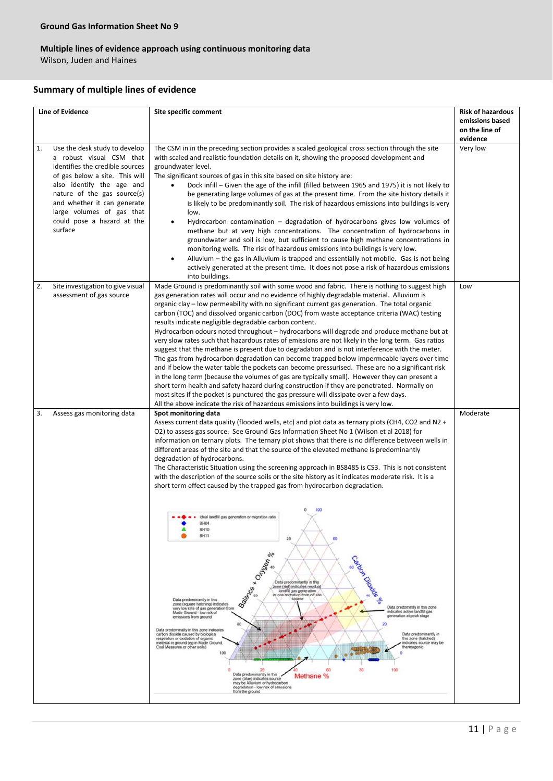## **Multiple lines of evidence approach using continuous monitoring data**

Wilson, Juden and Haines

#### **Summary of multiple lines of evidence**

| <b>Line of Evidence</b>                                                                                                                                                                                                                                                                               | Site specific comment                                                                                                                                                                                                                                                                                                                                                                                                                                                                                                                                                                                                                                                                                                                                                                                                                                                                                                                                                                                                                                                                                                                                                                                                                                                                                                                                                                                                                                                                                                                                                                                                                                                                                                                                                                                                                      | <b>Risk of hazardous</b><br>emissions based<br>on the line of |
|-------------------------------------------------------------------------------------------------------------------------------------------------------------------------------------------------------------------------------------------------------------------------------------------------------|--------------------------------------------------------------------------------------------------------------------------------------------------------------------------------------------------------------------------------------------------------------------------------------------------------------------------------------------------------------------------------------------------------------------------------------------------------------------------------------------------------------------------------------------------------------------------------------------------------------------------------------------------------------------------------------------------------------------------------------------------------------------------------------------------------------------------------------------------------------------------------------------------------------------------------------------------------------------------------------------------------------------------------------------------------------------------------------------------------------------------------------------------------------------------------------------------------------------------------------------------------------------------------------------------------------------------------------------------------------------------------------------------------------------------------------------------------------------------------------------------------------------------------------------------------------------------------------------------------------------------------------------------------------------------------------------------------------------------------------------------------------------------------------------------------------------------------------------|---------------------------------------------------------------|
| Use the desk study to develop<br>1.<br>a robust visual CSM that<br>identifies the credible sources<br>of gas below a site. This will<br>also identify the age and<br>nature of the gas source(s)<br>and whether it can generate<br>large volumes of gas that<br>could pose a hazard at the<br>surface | The CSM in in the preceding section provides a scaled geological cross section through the site<br>with scaled and realistic foundation details on it, showing the proposed development and<br>groundwater level.<br>The significant sources of gas in this site based on site history are:<br>Dock infill – Given the age of the infill (filled between 1965 and 1975) it is not likely to<br>be generating large volumes of gas at the present time. From the site history details it<br>is likely to be predominantly soil. The risk of hazardous emissions into buildings is very<br>low.<br>Hydrocarbon contamination - degradation of hydrocarbons gives low volumes of<br>$\bullet$<br>methane but at very high concentrations. The concentration of hydrocarbons in<br>groundwater and soil is low, but sufficient to cause high methane concentrations in<br>monitoring wells. The risk of hazardous emissions into buildings is very low.<br>Alluvium - the gas in Alluvium is trapped and essentially not mobile. Gas is not being<br>$\bullet$<br>actively generated at the present time. It does not pose a risk of hazardous emissions<br>into buildings.                                                                                                                                                                                                                                                                                                                                                                                                                                                                                                                                                                                                                                                                    | evidence<br>Very low                                          |
| 2.<br>Site investigation to give visual<br>assessment of gas source                                                                                                                                                                                                                                   | Made Ground is predominantly soil with some wood and fabric. There is nothing to suggest high<br>gas generation rates will occur and no evidence of highly degradable material. Alluvium is<br>organic clay - low permeability with no significant current gas generation. The total organic<br>carbon (TOC) and dissolved organic carbon (DOC) from waste acceptance criteria (WAC) testing<br>results indicate negligible degradable carbon content.<br>Hydrocarbon odours noted throughout - hydrocarbons will degrade and produce methane but at<br>very slow rates such that hazardous rates of emissions are not likely in the long term. Gas ratios<br>suggest that the methane is present due to degradation and is not interference with the meter.<br>The gas from hydrocarbon degradation can become trapped below impermeable layers over time<br>and if below the water table the pockets can become pressurised. These are no a significant risk<br>in the long term (because the volumes of gas are typically small). However they can present a<br>short term health and safety hazard during construction if they are penetrated. Normally on<br>most sites if the pocket is punctured the gas pressure will dissipate over a few days.<br>All the above indicate the risk of hazardous emissions into buildings is very low.                                                                                                                                                                                                                                                                                                                                                                                                                                                                                             | Low                                                           |
| 3.<br>Assess gas monitoring data                                                                                                                                                                                                                                                                      | Spot monitoring data<br>Assess current data quality (flooded wells, etc) and plot data as ternary plots (CH4, CO2 and N2 +<br>O2) to assess gas source. See Ground Gas Information Sheet No 1 (Wilson et al 2018) for<br>information on ternary plots. The ternary plot shows that there is no difference between wells in<br>different areas of the site and that the source of the elevated methane is predominantly<br>degradation of hydrocarbons.<br>The Characteristic Situation using the screening approach in BS8485 is CS3. This is not consistent<br>with the description of the source soils or the site history as it indicates moderate risk. It is a<br>short term effect caused by the trapped gas from hydrocarbon degradation.<br>• • • Ideal landfill gas generation or migration ratio<br><b>BH04</b><br>BH10<br><b>BH11</b><br>20<br>80<br>Caroc Oidre e<br>O <sub>typen</sub><br>x<br>Data predominantly in this<br>zone (red) indicates residual<br>Ballance<br>landfill gas generation<br>or gas midration from off site<br>source<br>Data predominantly in this<br>zone (square hatching) indicates<br>Data predomintly in this zone<br>very low rate of gas generation from<br>indicates active landfill gas<br>Made Ground - low risk of<br>generation at peak stage<br>emissions from ground<br>20<br>Data predominalty in this zone indicates<br>carbon dioxide caused by biological<br>Data predominantly in<br>respiration or oxidation of organic<br>this zone (hatched).<br>indicates source may be<br>material in ground (eg in Made Ground,<br>Coal Measures or other soils)<br>thermogenic<br>100<br>ō<br>100<br>80<br>20<br>60<br>Data predominantly in this<br>Methane %<br>zone (blue) indicates source<br>may be Alluvium or hydrocarbon<br>degradation - low risk of emissions<br>from the ground | Moderate                                                      |